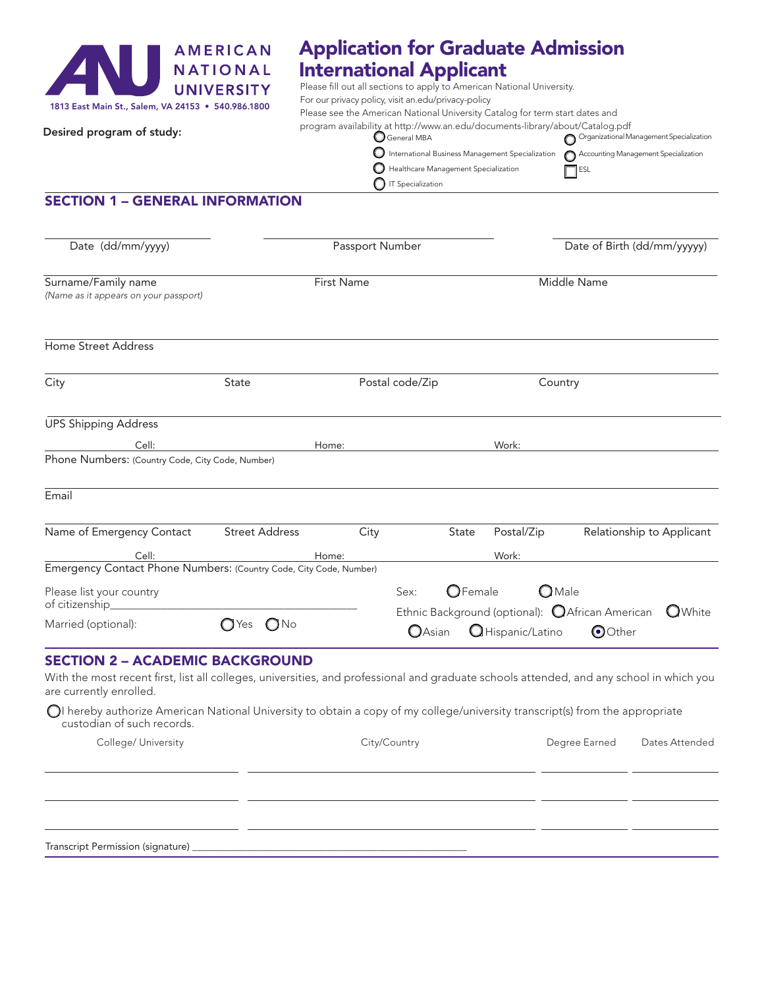

## Application for Graduate Admission International Applicant

Please fill out all sections to apply to American National University. For our privacy policy, visit an.edu/privacy-policy

|  | Desired program of study: |  |  |
|--|---------------------------|--|--|
|--|---------------------------|--|--|

## Please see the American National University Catalog for term start dates and

**O** IT Specialization

| program availability at http://www.an.edu/documents-library/about/Catalog.pdf             |                                          |
|-------------------------------------------------------------------------------------------|------------------------------------------|
| $\Box$ General MBA                                                                        | Organizational Management Specialization |
| O International Business Management Specialization C Accounting Management Specialization |                                          |
| Healthcare Management Specialization                                                      | $\Box$ ESL                               |
|                                                                                           |                                          |

SECTION 1 – GENERAL INFORMATION

| Date (dd/mm/yyyy)                                                                                                                                                                                             |                       | Passport Number |                           | Date of Birth (dd/mm/yyyyy)                                               |                    |                           |  |  |
|---------------------------------------------------------------------------------------------------------------------------------------------------------------------------------------------------------------|-----------------------|-----------------|---------------------------|---------------------------------------------------------------------------|--------------------|---------------------------|--|--|
| Surname/Family name<br>(Name as it appears on your passport)                                                                                                                                                  |                       | First Name      |                           |                                                                           | <b>Middle Name</b> |                           |  |  |
| Home Street Address                                                                                                                                                                                           |                       |                 |                           |                                                                           |                    |                           |  |  |
| City                                                                                                                                                                                                          | State                 |                 | Postal code/Zip           | Country                                                                   |                    |                           |  |  |
| <b>UPS Shipping Address</b><br>Cell:<br>Phone Numbers: (Country Code, City Code, Number)                                                                                                                      |                       | Home:           |                           | Work:                                                                     |                    |                           |  |  |
| Email                                                                                                                                                                                                         |                       |                 |                           |                                                                           |                    |                           |  |  |
| Name of Emergency Contact<br>Cell:                                                                                                                                                                            | <b>Street Address</b> | City<br>Home:   | State                     | Postal/Zip<br>Work:                                                       |                    | Relationship to Applicant |  |  |
| Emergency Contact Phone Numbers: (Country Code, City Code, Number)<br>Please list your country<br>of citizenship_<br>Married (optional):                                                                      | $\bigcap$ No<br>(TYes |                 | $\bigcirc$ Female<br>Sex: | $\bigcirc$ Male<br>Ethnic Background (optional): <b>QAfrican American</b> |                    | <b>O</b> White            |  |  |
|                                                                                                                                                                                                               |                       |                 | OAsian                    | Hispanic/Latino                                                           | <b>O</b> Other     |                           |  |  |
| <b>SECTION 2 - ACADEMIC BACKGROUND</b><br>With the most recent first, list all colleges, universities, and professional and graduate schools attended, and any school in which you<br>are currently enrolled. |                       |                 |                           |                                                                           |                    |                           |  |  |
| $\bigcirc$ I hereby authorize American National University to obtain a copy of my college/university transcript(s) from the appropriate<br>custodian of such records.                                         |                       |                 |                           |                                                                           |                    |                           |  |  |
| College/ University                                                                                                                                                                                           |                       |                 | City/Country              |                                                                           | Degree Earned      | Dates Attended            |  |  |

Transcript Permission (signature) \_